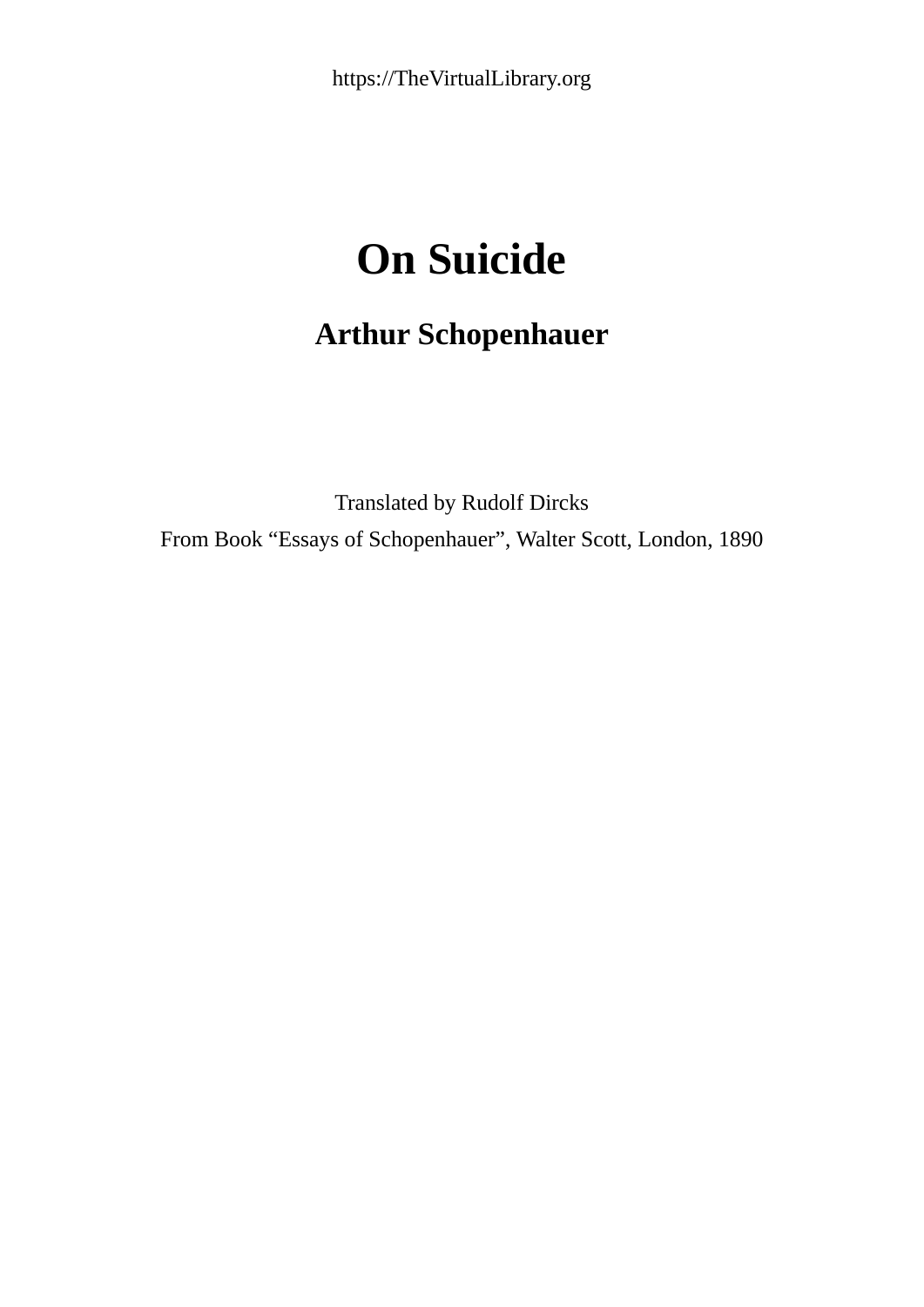## **On Suicide**

## **Arthur Schopenhauer**

Translated by Rudolf Dircks From Book "Essays of Schopenhauer", Walter Scott, London, 1890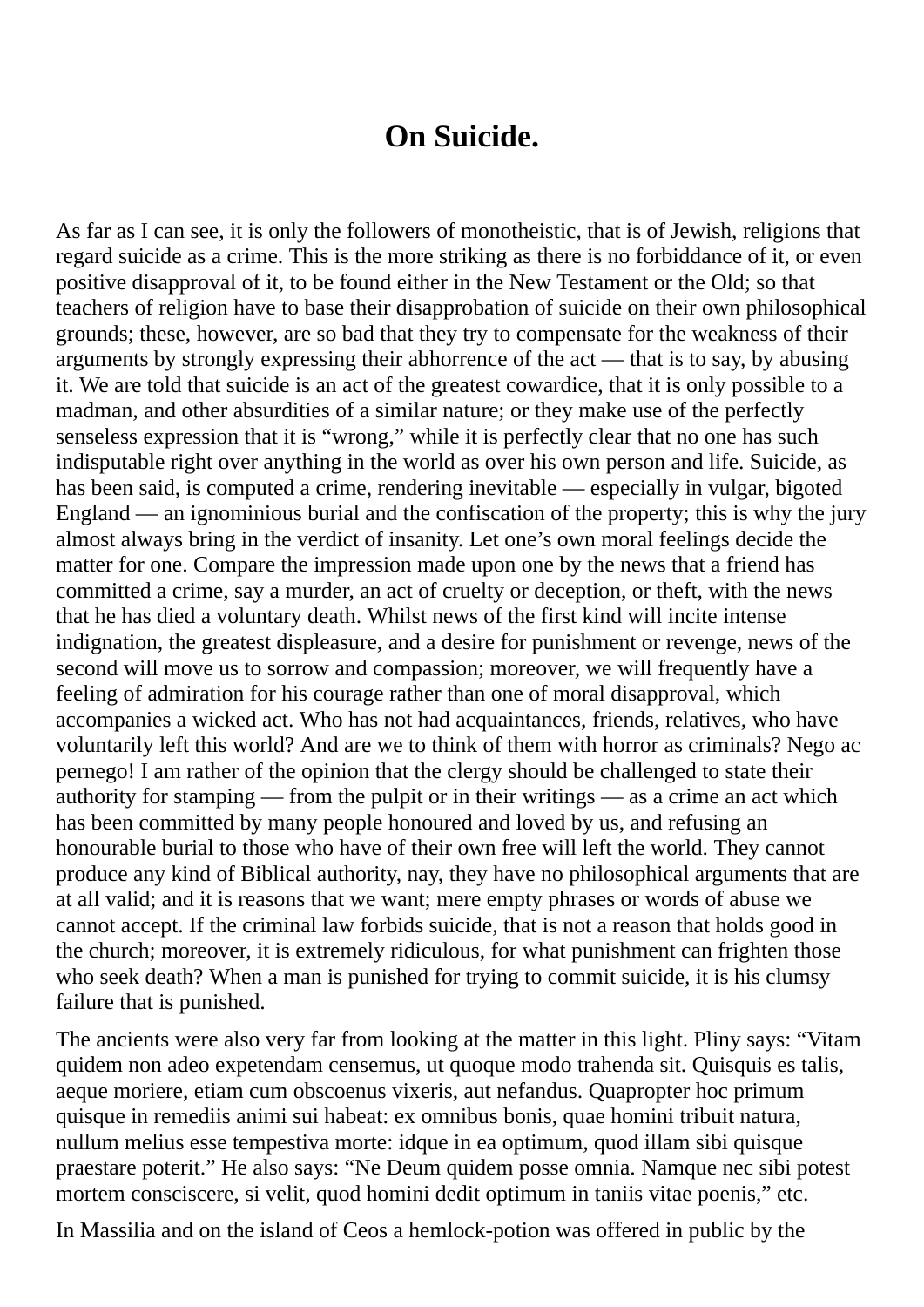## **On Suicide.**

As far as I can see, it is only the followers of monotheistic, that is of Jewish, religions that regard suicide as a crime. This is the more striking as there is no forbiddance of it, or even positive disapproval of it, to be found either in the New Testament or the Old; so that teachers of religion have to base their disapprobation of suicide on their own philosophical grounds; these, however, are so bad that they try to compensate for the weakness of their arguments by strongly expressing their abhorrence of the act — that is to say, by abusing it. We are told that suicide is an act of the greatest cowardice, that it is only possible to a madman, and other absurdities of a similar nature; or they make use of the perfectly senseless expression that it is "wrong," while it is perfectly clear that no one has such indisputable right over anything in the world as over his own person and life. Suicide, as has been said, is computed a crime, rendering inevitable — especially in vulgar, bigoted England — an ignominious burial and the confiscation of the property; this is why the jury almost always bring in the verdict of insanity. Let one's own moral feelings decide the matter for one. Compare the impression made upon one by the news that a friend has committed a crime, say a murder, an act of cruelty or deception, or theft, with the news that he has died a voluntary death. Whilst news of the first kind will incite intense indignation, the greatest displeasure, and a desire for punishment or revenge, news of the second will move us to sorrow and compassion; moreover, we will frequently have a feeling of admiration for his courage rather than one of moral disapproval, which accompanies a wicked act. Who has not had acquaintances, friends, relatives, who have voluntarily left this world? And are we to think of them with horror as criminals? Nego ac pernego! I am rather of the opinion that the clergy should be challenged to state their authority for stamping — from the pulpit or in their writings — as a crime an act which has been committed by many people honoured and loved by us, and refusing an honourable burial to those who have of their own free will left the world. They cannot produce any kind of Biblical authority, nay, they have no philosophical arguments that are at all valid; and it is reasons that we want; mere empty phrases or words of abuse we cannot accept. If the criminal law forbids suicide, that is not a reason that holds good in the church; moreover, it is extremely ridiculous, for what punishment can frighten those who seek death? When a man is punished for trying to commit suicide, it is his clumsy failure that is punished.

The ancients were also very far from looking at the matter in this light. Pliny says: "Vitam quidem non adeo expetendam censemus, ut quoque modo trahenda sit. Quisquis es talis, aeque moriere, etiam cum obscoenus vixeris, aut nefandus. Quapropter hoc primum quisque in remediis animi sui habeat: ex omnibus bonis, quae homini tribuit natura, nullum melius esse tempestiva morte: idque in ea optimum, quod illam sibi quisque praestare poterit." He also says: "Ne Deum quidem posse omnia. Namque nec sibi potest mortem consciscere, si velit, quod homini dedit optimum in taniis vitae poenis," etc.

In Massilia and on the island of Ceos a hemlock-potion was offered in public by the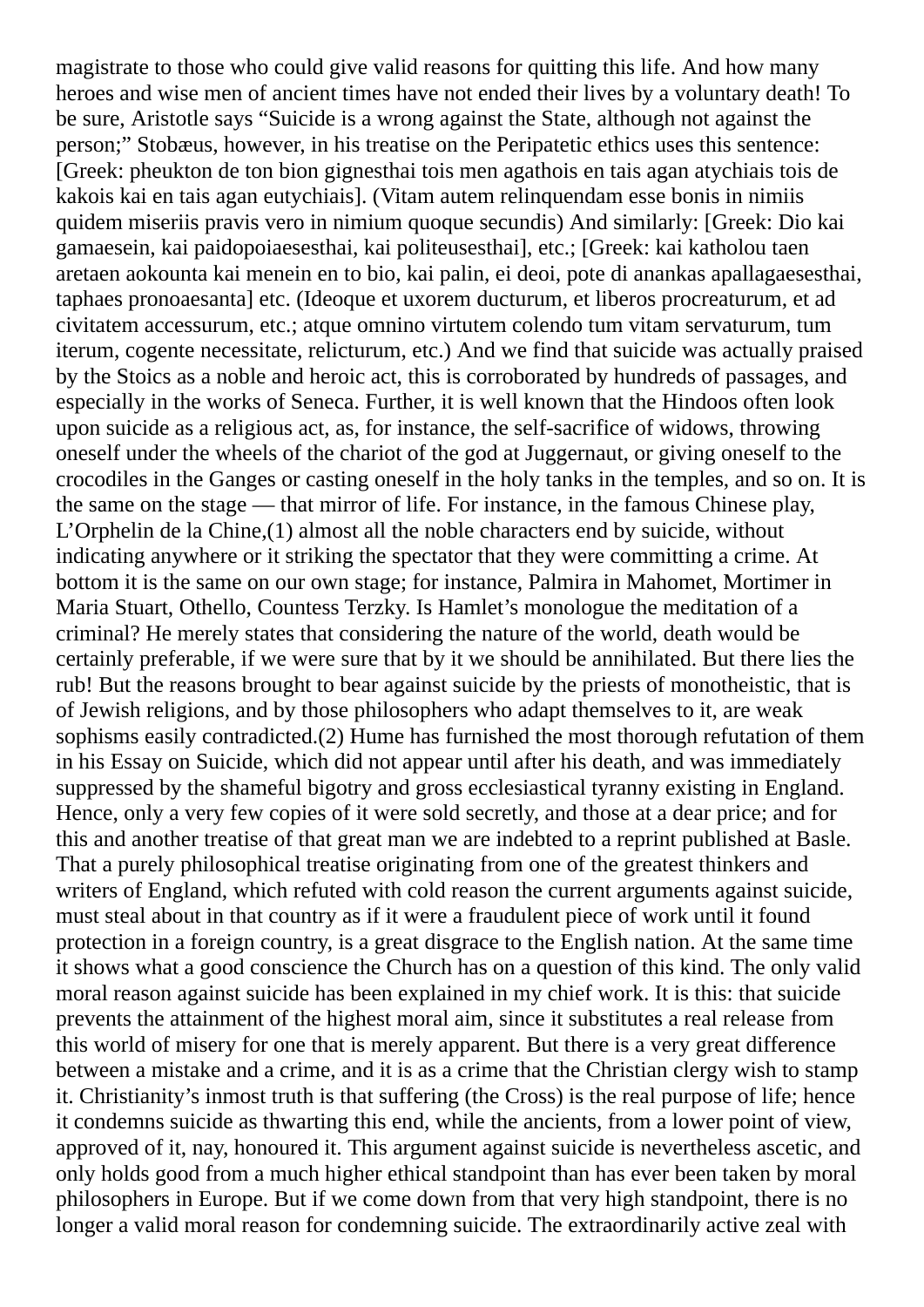magistrate to those who could give valid reasons for quitting this life. And how many heroes and wise men of ancient times have not ended their lives by a voluntary death! To be sure, Aristotle says "Suicide is a wrong against the State, although not against the person;" Stobæus, however, in his treatise on the Peripatetic ethics uses this sentence: [Greek: pheukton de ton bion gignesthai tois men agathois en tais agan atychiais tois de kakois kai en tais agan eutychiais]. (Vitam autem relinquendam esse bonis in nimiis quidem miseriis pravis vero in nimium quoque secundis) And similarly: [Greek: Dio kai gamaesein, kai paidopoiaesesthai, kai politeusesthai], etc.; [Greek: kai katholou taen aretaen aokounta kai menein en to bio, kai palin, ei deoi, pote di anankas apallagaesesthai, taphaes pronoaesanta] etc. (Ideoque et uxorem ducturum, et liberos procreaturum, et ad civitatem accessurum, etc.; atque omnino virtutem colendo tum vitam servaturum, tum iterum, cogente necessitate, relicturum, etc.) And we find that suicide was actually praised by the Stoics as a noble and heroic act, this is corroborated by hundreds of passages, and especially in the works of Seneca. Further, it is well known that the Hindoos often look upon suicide as a religious act, as, for instance, the self-sacrifice of widows, throwing oneself under the wheels of the chariot of the god at Juggernaut, or giving oneself to the crocodiles in the Ganges or casting oneself in the holy tanks in the temples, and so on. It is the same on the stage — that mirror of life. For instance, in the famous Chinese play, L'Orphelin de la Chine,(1) almost all the noble characters end by suicide, without indicating anywhere or it striking the spectator that they were committing a crime. At bottom it is the same on our own stage; for instance, Palmira in Mahomet, Mortimer in Maria Stuart, Othello, Countess Terzky. Is Hamlet's monologue the meditation of a criminal? He merely states that considering the nature of the world, death would be certainly preferable, if we were sure that by it we should be annihilated. But there lies the rub! But the reasons brought to bear against suicide by the priests of monotheistic, that is of Jewish religions, and by those philosophers who adapt themselves to it, are weak sophisms easily contradicted.(2) Hume has furnished the most thorough refutation of them in his Essay on Suicide, which did not appear until after his death, and was immediately suppressed by the shameful bigotry and gross ecclesiastical tyranny existing in England. Hence, only a very few copies of it were sold secretly, and those at a dear price; and for this and another treatise of that great man we are indebted to a reprint published at Basle. That a purely philosophical treatise originating from one of the greatest thinkers and writers of England, which refuted with cold reason the current arguments against suicide, must steal about in that country as if it were a fraudulent piece of work until it found protection in a foreign country, is a great disgrace to the English nation. At the same time it shows what a good conscience the Church has on a question of this kind. The only valid moral reason against suicide has been explained in my chief work. It is this: that suicide prevents the attainment of the highest moral aim, since it substitutes a real release from this world of misery for one that is merely apparent. But there is a very great difference between a mistake and a crime, and it is as a crime that the Christian clergy wish to stamp it. Christianity's inmost truth is that suffering (the Cross) is the real purpose of life; hence it condemns suicide as thwarting this end, while the ancients, from a lower point of view, approved of it, nay, honoured it. This argument against suicide is nevertheless ascetic, and only holds good from a much higher ethical standpoint than has ever been taken by moral philosophers in Europe. But if we come down from that very high standpoint, there is no longer a valid moral reason for condemning suicide. The extraordinarily active zeal with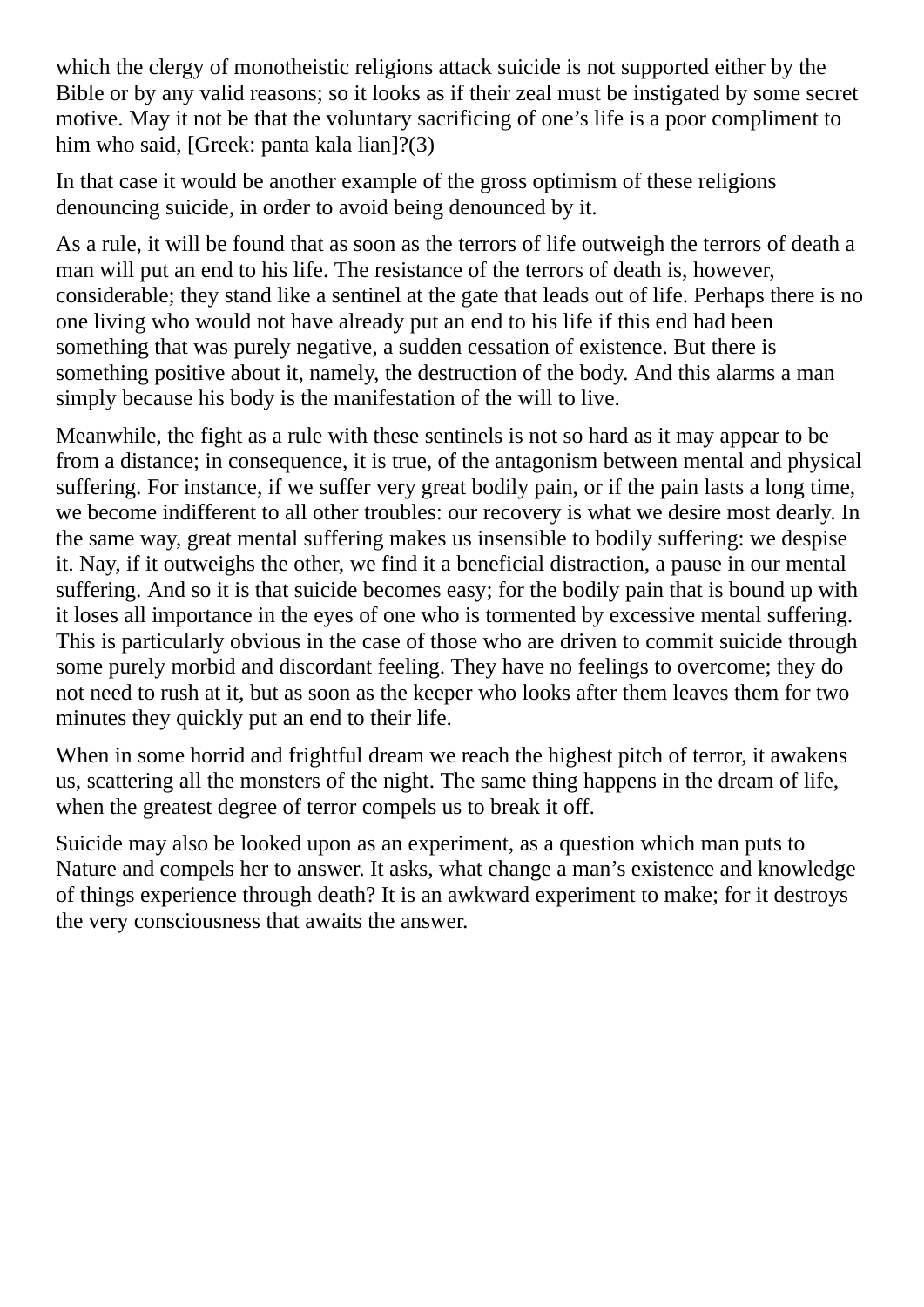which the clergy of monotheistic religions attack suicide is not supported either by the Bible or by any valid reasons; so it looks as if their zeal must be instigated by some secret motive. May it not be that the voluntary sacrificing of one's life is a poor compliment to him who said, [Greek: panta kala lian]?(3)

In that case it would be another example of the gross optimism of these religions denouncing suicide, in order to avoid being denounced by it.

As a rule, it will be found that as soon as the terrors of life outweigh the terrors of death a man will put an end to his life. The resistance of the terrors of death is, however, considerable; they stand like a sentinel at the gate that leads out of life. Perhaps there is no one living who would not have already put an end to his life if this end had been something that was purely negative, a sudden cessation of existence. But there is something positive about it, namely, the destruction of the body. And this alarms a man simply because his body is the manifestation of the will to live.

Meanwhile, the fight as a rule with these sentinels is not so hard as it may appear to be from a distance; in consequence, it is true, of the antagonism between mental and physical suffering. For instance, if we suffer very great bodily pain, or if the pain lasts a long time, we become indifferent to all other troubles: our recovery is what we desire most dearly. In the same way, great mental suffering makes us insensible to bodily suffering: we despise it. Nay, if it outweighs the other, we find it a beneficial distraction, a pause in our mental suffering. And so it is that suicide becomes easy; for the bodily pain that is bound up with it loses all importance in the eyes of one who is tormented by excessive mental suffering. This is particularly obvious in the case of those who are driven to commit suicide through some purely morbid and discordant feeling. They have no feelings to overcome; they do not need to rush at it, but as soon as the keeper who looks after them leaves them for two minutes they quickly put an end to their life.

When in some horrid and frightful dream we reach the highest pitch of terror, it awakens us, scattering all the monsters of the night. The same thing happens in the dream of life, when the greatest degree of terror compels us to break it off.

Suicide may also be looked upon as an experiment, as a question which man puts to Nature and compels her to answer. It asks, what change a man's existence and knowledge of things experience through death? It is an awkward experiment to make; for it destroys the very consciousness that awaits the answer.